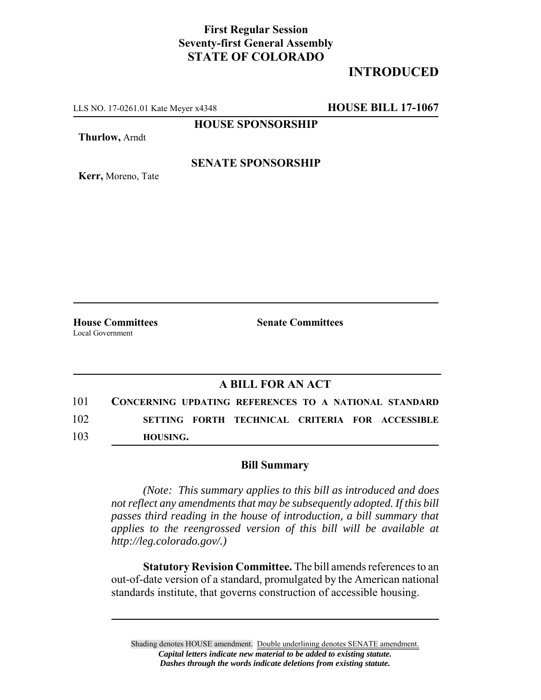## **First Regular Session Seventy-first General Assembly STATE OF COLORADO**

# **INTRODUCED**

LLS NO. 17-0261.01 Kate Meyer x4348 **HOUSE BILL 17-1067**

**HOUSE SPONSORSHIP**

**Thurlow,** Arndt

**Kerr,** Moreno, Tate

### **SENATE SPONSORSHIP**

Local Government

**House Committees Senate Committees**

### **A BILL FOR AN ACT**

101 **CONCERNING UPDATING REFERENCES TO A NATIONAL STANDARD** 102 **SETTING FORTH TECHNICAL CRITERIA FOR ACCESSIBLE** 103 **HOUSING.**

#### **Bill Summary**

*(Note: This summary applies to this bill as introduced and does not reflect any amendments that may be subsequently adopted. If this bill passes third reading in the house of introduction, a bill summary that applies to the reengrossed version of this bill will be available at http://leg.colorado.gov/.)*

**Statutory Revision Committee.** The bill amends references to an out-of-date version of a standard, promulgated by the American national standards institute, that governs construction of accessible housing.

Shading denotes HOUSE amendment. Double underlining denotes SENATE amendment. *Capital letters indicate new material to be added to existing statute. Dashes through the words indicate deletions from existing statute.*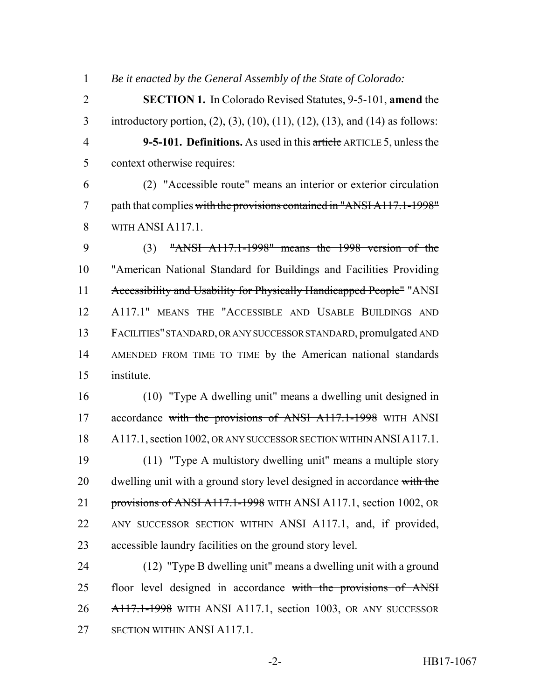*Be it enacted by the General Assembly of the State of Colorado:*

 **SECTION 1.** In Colorado Revised Statutes, 9-5-101, **amend** the introductory portion, (2), (3), (10), (11), (12), (13), and (14) as follows: **9-5-101. Definitions.** As used in this article ARTICLE 5, unless the

context otherwise requires:

 (2) "Accessible route" means an interior or exterior circulation path that complies with the provisions contained in "ANSI A117.1-1998" WITH ANSI A117.1.

 (3) "ANSI A117.1-1998" means the 1998 version of the "American National Standard for Buildings and Facilities Providing Accessibility and Usability for Physically Handicapped People" "ANSI A117.1" MEANS THE "ACCESSIBLE AND USABLE BUILDINGS AND FACILITIES" STANDARD, OR ANY SUCCESSOR STANDARD, promulgated AND AMENDED FROM TIME TO TIME by the American national standards institute.

 (10) "Type A dwelling unit" means a dwelling unit designed in 17 accordance with the provisions of ANSI A117.1-1998 WITH ANSI 18 A117.1, section 1002, OR ANY SUCCESSOR SECTION WITHIN ANSI A117.1.

 (11) "Type A multistory dwelling unit" means a multiple story 20 dwelling unit with a ground story level designed in accordance with the 21 provisions of ANSI A117.1-1998 WITH ANSI A117.1, section 1002, OR ANY SUCCESSOR SECTION WITHIN ANSI A117.1, and, if provided, accessible laundry facilities on the ground story level.

 (12) "Type B dwelling unit" means a dwelling unit with a ground 25 floor level designed in accordance with the provisions of ANSI 26 A117.1-1998 WITH ANSI A117.1, section 1003, OR ANY SUCCESSOR SECTION WITHIN ANSI A117.1.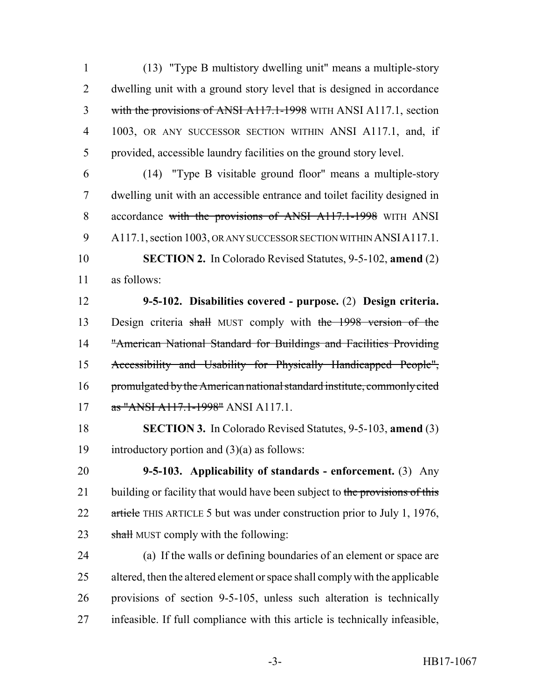(13) "Type B multistory dwelling unit" means a multiple-story dwelling unit with a ground story level that is designed in accordance 3 with the provisions of ANSI A117.1-1998 WITH ANSI A117.1, section 1003, OR ANY SUCCESSOR SECTION WITHIN ANSI A117.1, and, if provided, accessible laundry facilities on the ground story level.

 (14) "Type B visitable ground floor" means a multiple-story dwelling unit with an accessible entrance and toilet facility designed in 8 accordance with the provisions of ANSI A117.1-1998 WITH ANSI A117.1, section 1003, OR ANY SUCCESSOR SECTION WITHIN ANSIA117.1. **SECTION 2.** In Colorado Revised Statutes, 9-5-102, **amend** (2)

as follows:

 **9-5-102. Disabilities covered - purpose.** (2) **Design criteria.** Design criteria shall MUST comply with the 1998 version of the "American National Standard for Buildings and Facilities Providing Accessibility and Usability for Physically Handicapped People", promulgated by the American national standard institute, commonly cited as "ANSI A117.1-1998" ANSI A117.1.

 **SECTION 3.** In Colorado Revised Statutes, 9-5-103, **amend** (3) 19 introductory portion and  $(3)(a)$  as follows:

 **9-5-103. Applicability of standards - enforcement.** (3) Any 21 building or facility that would have been subject to the provisions of this 22 article THIS ARTICLE 5 but was under construction prior to July 1, 1976, 23 shall MUST comply with the following:

 (a) If the walls or defining boundaries of an element or space are altered, then the altered element or space shall comply with the applicable provisions of section 9-5-105, unless such alteration is technically infeasible. If full compliance with this article is technically infeasible,